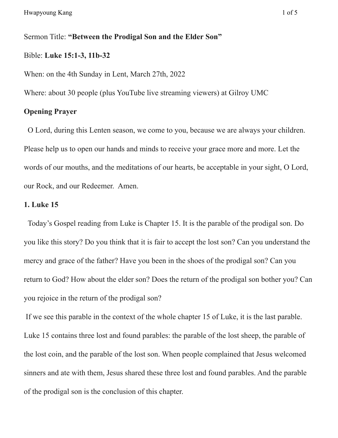# Sermon Title: **"Between the Prodigal Son and the Elder Son"**

# Bible: **Luke 15:1-3, 11b-32**

When: on the 4th Sunday in Lent, March 27th, 2022

Where: about 30 people (plus YouTube live streaming viewers) at Gilroy UMC

# **Opening Prayer**

O Lord, during this Lenten season, we come to you, because we are always your children. Please help us to open our hands and minds to receive your grace more and more. Let the words of our mouths, and the meditations of our hearts, be acceptable in your sight, O Lord, our Rock, and our Redeemer. Amen.

# **1. Luke 15**

Today's Gospel reading from Luke is Chapter 15. It is the parable of the prodigal son. Do you like this story? Do you think that it is fair to accept the lost son? Can you understand the mercy and grace of the father? Have you been in the shoes of the prodigal son? Can you return to God? How about the elder son? Does the return of the prodigal son bother you? Can you rejoice in the return of the prodigal son?

If we see this parable in the context of the whole chapter 15 of Luke, it is the last parable. Luke 15 contains three lost and found parables: the parable of the lost sheep, the parable of the lost coin, and the parable of the lost son. When people complained that Jesus welcomed sinners and ate with them, Jesus shared these three lost and found parables. And the parable of the prodigal son is the conclusion of this chapter.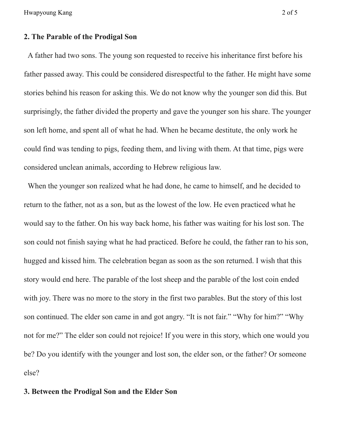Hwapyoung Kang 2 of 5

# **2. The Parable of the Prodigal Son**

A father had two sons. The young son requested to receive his inheritance first before his father passed away. This could be considered disrespectful to the father. He might have some stories behind his reason for asking this. We do not know why the younger son did this. But surprisingly, the father divided the property and gave the younger son his share. The younger son left home, and spent all of what he had. When he became destitute, the only work he could find was tending to pigs, feeding them, and living with them. At that time, pigs were considered unclean animals, according to Hebrew religious law.

When the younger son realized what he had done, he came to himself, and he decided to return to the father, not as a son, but as the lowest of the low. He even practiced what he would say to the father. On his way back home, his father was waiting for his lost son. The son could not finish saying what he had practiced. Before he could, the father ran to his son, hugged and kissed him. The celebration began as soon as the son returned. I wish that this story would end here. The parable of the lost sheep and the parable of the lost coin ended with joy. There was no more to the story in the first two parables. But the story of this lost son continued. The elder son came in and got angry. "It is not fair." "Why for him?" "Why not for me?" The elder son could not rejoice! If you were in this story, which one would you be? Do you identify with the younger and lost son, the elder son, or the father? Or someone else?

### **3. Between the Prodigal Son and the Elder Son**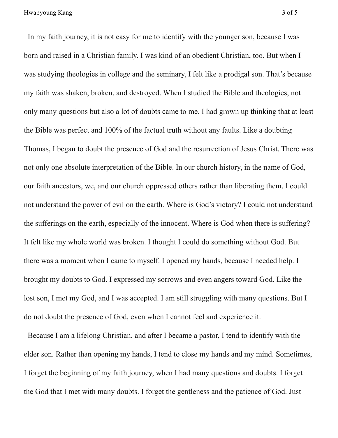In my faith journey, it is not easy for me to identify with the younger son, because I was born and raised in a Christian family. I was kind of an obedient Christian, too. But when I was studying theologies in college and the seminary, I felt like a prodigal son. That's because my faith was shaken, broken, and destroyed. When I studied the Bible and theologies, not only many questions but also a lot of doubts came to me. I had grown up thinking that at least the Bible was perfect and 100% of the factual truth without any faults. Like a doubting Thomas, I began to doubt the presence of God and the resurrection of Jesus Christ. There was not only one absolute interpretation of the Bible. In our church history, in the name of God, our faith ancestors, we, and our church oppressed others rather than liberating them. I could not understand the power of evil on the earth. Where is God's victory? I could not understand the sufferings on the earth, especially of the innocent. Where is God when there is suffering? It felt like my whole world was broken. I thought I could do something without God. But there was a moment when I came to myself. I opened my hands, because I needed help. I brought my doubts to God. I expressed my sorrows and even angers toward God. Like the lost son, I met my God, and I was accepted. I am still struggling with many questions. But I do not doubt the presence of God, even when I cannot feel and experience it.

Because I am a lifelong Christian, and after I became a pastor, I tend to identify with the elder son. Rather than opening my hands, I tend to close my hands and my mind. Sometimes, I forget the beginning of my faith journey, when I had many questions and doubts. I forget the God that I met with many doubts. I forget the gentleness and the patience of God. Just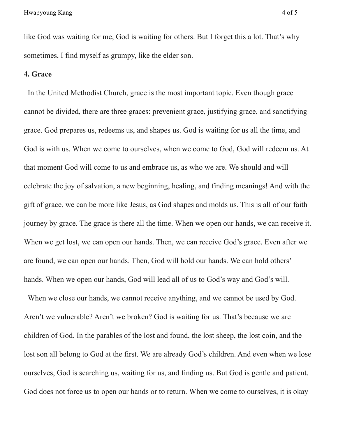like God was waiting for me, God is waiting for others. But I forget this a lot. That's why sometimes, I find myself as grumpy, like the elder son.

#### **4. Grace**

In the United Methodist Church, grace is the most important topic. Even though grace cannot be divided, there are three graces: prevenient grace, justifying grace, and sanctifying grace. God prepares us, redeems us, and shapes us. God is waiting for us all the time, and God is with us. When we come to ourselves, when we come to God, God will redeem us. At that moment God will come to us and embrace us, as who we are. We should and will celebrate the joy of salvation, a new beginning, healing, and finding meanings! And with the gift of grace, we can be more like Jesus, as God shapes and molds us. This is all of our faith journey by grace. The grace is there all the time. When we open our hands, we can receive it. When we get lost, we can open our hands. Then, we can receive God's grace. Even after we are found, we can open our hands. Then, God will hold our hands. We can hold others' hands. When we open our hands, God will lead all of us to God's way and God's will.

When we close our hands, we cannot receive anything, and we cannot be used by God. Aren't we vulnerable? Aren't we broken? God is waiting for us. That's because we are children of God. In the parables of the lost and found, the lost sheep, the lost coin, and the lost son all belong to God at the first. We are already God's children. And even when we lose ourselves, God is searching us, waiting for us, and finding us. But God is gentle and patient. God does not force us to open our hands or to return. When we come to ourselves, it is okay